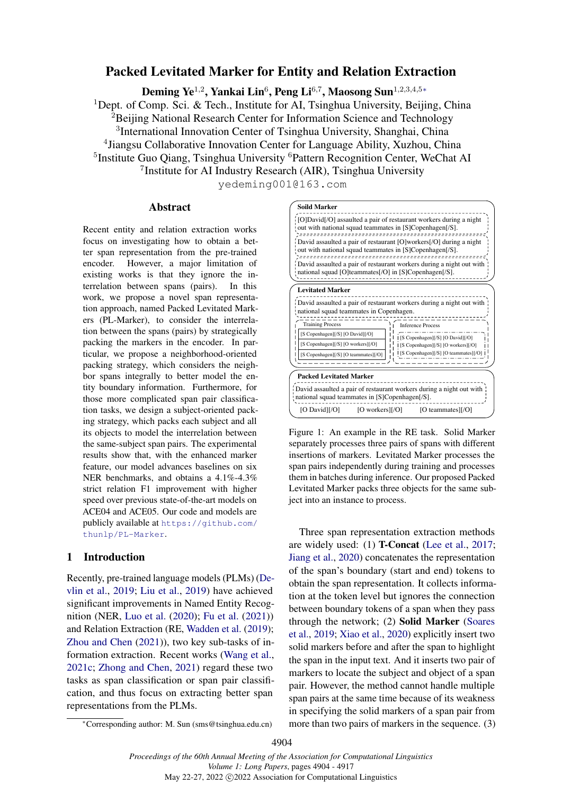# <span id="page-0-0"></span>Packed Levitated Marker for Entity and Relation Extraction

Deming Ye $^{1,2}$ , Yankai Lin $^6$ , Peng Li $^{6,7}$ , Maosong Sun $^{1,2,3,4,5\ast}$ 

<sup>1</sup>Dept. of Comp. Sci. & Tech., Institute for AI, Tsinghua University, Beijing, China  ${}^{2}$ Beijing National Research Center for Information Science and Technology <sup>3</sup>International Innovation Center of Tsinghua University, Shanghai, China 4 Jiangsu Collaborative Innovation Center for Language Ability, Xuzhou, China <sup>5</sup>Institute Guo Qiang, Tsinghua University <sup>6</sup>Pattern Recognition Center, WeChat AI <sup>7</sup> Institute for AI Industry Research (AIR), Tsinghua University

yedeming001@163.com

## Abstract

Recent entity and relation extraction works focus on investigating how to obtain a better span representation from the pre-trained encoder. However, a major limitation of existing works is that they ignore the interrelation between spans (pairs). In this work, we propose a novel span representation approach, named Packed Levitated Markers (PL-Marker), to consider the interrelation between the spans (pairs) by strategically packing the markers in the encoder. In particular, we propose a neighborhood-oriented packing strategy, which considers the neighbor spans integrally to better model the entity boundary information. Furthermore, for those more complicated span pair classification tasks, we design a subject-oriented packing strategy, which packs each subject and all its objects to model the interrelation between the same-subject span pairs. The experimental results show that, with the enhanced marker feature, our model advances baselines on six NER benchmarks, and obtains a 4.1%-4.3% strict relation F1 improvement with higher speed over previous state-of-the-art models on ACE04 and ACE05. Our code and models are publicly available at [https://github.com/](https://github.com/thunlp/PL-Marker) [thunlp/PL-Marker](https://github.com/thunlp/PL-Marker).

# 1 Introduction

Recently, pre-trained language models (PLMs) [\(De](#page-8-0)[vlin et al.,](#page-8-0) [2019;](#page-8-0) [Liu et al.,](#page-9-0) [2019\)](#page-9-0) have achieved significant improvements in Named Entity Recognition (NER, [Luo et al.](#page-9-1) [\(2020\)](#page-9-1); [Fu et al.](#page-8-1) [\(2021\)](#page-8-1)) and Relation Extraction (RE, [Wadden et al.](#page-10-0) [\(2019\)](#page-10-0); [Zhou and Chen](#page-11-0) [\(2021\)](#page-11-0)), two key sub-tasks of information extraction. Recent works [\(Wang et al.,](#page-11-1) [2021c;](#page-11-1) [Zhong and Chen,](#page-11-2) [2021\)](#page-11-2) regard these two tasks as span classification or span pair classification, and thus focus on extracting better span representations from the PLMs.

#### <span id="page-0-1"></span>**Soild Marker**

[O]David[/O] assaulted a pair of restaurant workers during a night out with national squad teammates in [S]Copenhagen[/S]. David assaulted a pair of restaurant [O]workers[/O] during a night out with national squad teammates in [S]Copenhagen[/S]. David assaulted a pair of restaurant workers during a night out with national squad [O]teammates[/O] in [S]Copenhagen[/S]. **Levitated Marker**



Figure 1: An example in the RE task. Solid Marker separately processes three pairs of spans with different insertions of markers. Levitated Marker processes the span pairs independently during training and processes them in batches during inference. Our proposed Packed Levitated Marker packs three objects for the same subject into an instance to process.

who and corresponding authories. The interaction and Cherrel is a super-ordinate along pair classification between a subject of reduced packs, we design a subject of reduced packs in the RE task. Soint Mark of the sume Three span representation extraction methods are widely used: (1) T-Concat [\(Lee et al.,](#page-9-2) [2017;](#page-9-2) [Jiang et al.,](#page-8-2) [2020\)](#page-8-2) concatenates the representation of the span's boundary (start and end) tokens to obtain the span representation. It collects information at the token level but ignores the connection between boundary tokens of a span when they pass through the network; (2) Solid Marker [\(Soares](#page-10-1) [et al.,](#page-10-1) [2019;](#page-10-1) [Xiao et al.,](#page-11-3) [2020\)](#page-11-3) explicitly insert two solid markers before and after the span to highlight the span in the input text. And it inserts two pair of markers to locate the subject and object of a span pair. However, the method cannot handle multiple span pairs at the same time because of its weakness in specifying the solid markers of a span pair from more than two pairs of markers in the sequence. (3)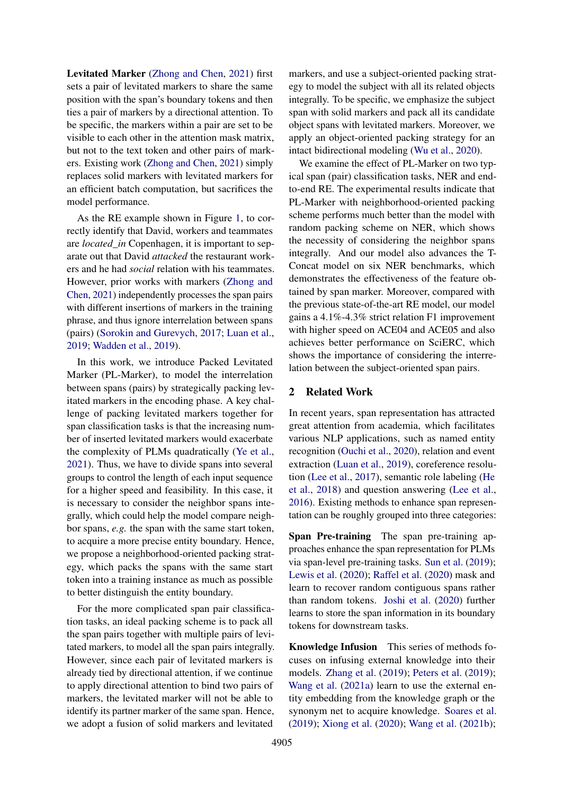Levitated Marker [\(Zhong and Chen,](#page-11-2) [2021\)](#page-11-2) first sets a pair of levitated markers to share the same position with the span's boundary tokens and then ties a pair of markers by a directional attention. To be specific, the markers within a pair are set to be visible to each other in the attention mask matrix, but not to the text token and other pairs of markers. Existing work [\(Zhong and Chen,](#page-11-2) [2021\)](#page-11-2) simply replaces solid markers with levitated markers for an efficient batch computation, but sacrifices the model performance.

As the RE example shown in Figure [1,](#page-0-1) to correctly identify that David, workers and teammates are *located\_in* Copenhagen, it is important to separate out that David *attacked* the restaurant workers and he had *social* relation with his teammates. However, prior works with markers [\(Zhong and](#page-11-2) [Chen,](#page-11-2) [2021\)](#page-11-2) independently processes the span pairs with different insertions of markers in the training phrase, and thus ignore interrelation between spans (pairs) [\(Sorokin and Gurevych,](#page-10-2) [2017;](#page-10-2) [Luan et al.,](#page-9-3) [2019;](#page-9-3) [Wadden et al.,](#page-10-0) [2019\)](#page-10-0).

In this work, we introduce Packed Levitated Marker (PL-Marker), to model the interrelation between spans (pairs) by strategically packing levitated markers in the encoding phase. A key challenge of packing levitated markers together for span classification tasks is that the increasing number of inserted levitated markers would exacerbate the complexity of PLMs quadratically [\(Ye et al.,](#page-11-4) [2021\)](#page-11-4). Thus, we have to divide spans into several groups to control the length of each input sequence for a higher speed and feasibility. In this case, it is necessary to consider the neighbor spans integrally, which could help the model compare neighbor spans, *e.g.* the span with the same start token, to acquire a more precise entity boundary. Hence, we propose a neighborhood-oriented packing strategy, which packs the spans with the same start token into a training instance as much as possible to better distinguish the entity boundary.

For the more complicated span pair classification tasks, an ideal packing scheme is to pack all the span pairs together with multiple pairs of levitated markers, to model all the span pairs integrally. However, since each pair of levitated markers is already tied by directional attention, if we continue to apply directional attention to bind two pairs of markers, the levitated marker will not be able to identify its partner marker of the same span. Hence, we adopt a fusion of solid markers and levitated

markers, and use a subject-oriented packing strategy to model the subject with all its related objects integrally. To be specific, we emphasize the subject span with solid markers and pack all its candidate object spans with levitated markers. Moreover, we apply an object-oriented packing strategy for an intact bidirectional modeling [\(Wu et al.,](#page-11-5) [2020\)](#page-11-5).

We examine the effect of PL-Marker on two typical span (pair) classification tasks, NER and endto-end RE. The experimental results indicate that PL-Marker with neighborhood-oriented packing scheme performs much better than the model with random packing scheme on NER, which shows the necessity of considering the neighbor spans integrally. And our model also advances the T-Concat model on six NER benchmarks, which demonstrates the effectiveness of the feature obtained by span marker. Moreover, compared with the previous state-of-the-art RE model, our model gains a 4.1%-4.3% strict relation F1 improvement with higher speed on ACE04 and ACE05 and also achieves better performance on SciERC, which shows the importance of considering the interrelation between the subject-oriented span pairs.

## 2 Related Work

In recent years, span representation has attracted great attention from academia, which facilitates various NLP applications, such as named entity recognition [\(Ouchi et al.,](#page-10-3) [2020\)](#page-10-3), relation and event extraction [\(Luan et al.,](#page-9-3) [2019\)](#page-9-3), coreference resolution [\(Lee et al.,](#page-9-2) [2017\)](#page-9-2), semantic role labeling [\(He](#page-8-3) [et al.,](#page-8-3) [2018\)](#page-8-3) and question answering [\(Lee et al.,](#page-9-4) [2016\)](#page-9-4). Existing methods to enhance span representation can be roughly grouped into three categories:

Span Pre-training The span pre-training approaches enhance the span representation for PLMs via span-level pre-training tasks. [Sun et al.](#page-10-4) [\(2019\)](#page-10-4); [Lewis et al.](#page-9-5) [\(2020\)](#page-9-5); [Raffel et al.](#page-10-5) [\(2020\)](#page-10-5) mask and learn to recover random contiguous spans rather than random tokens. [Joshi et al.](#page-9-6) [\(2020\)](#page-9-6) further learns to store the span information in its boundary tokens for downstream tasks.

Knowledge Infusion This series of methods focuses on infusing external knowledge into their models. [Zhang et al.](#page-11-6) [\(2019\)](#page-11-6); [Peters et al.](#page-10-6) [\(2019\)](#page-10-6); [Wang et al.](#page-10-7) [\(2021a\)](#page-10-7) learn to use the external entity embedding from the knowledge graph or the synonym net to acquire knowledge. [Soares et al.](#page-10-1) [\(2019\)](#page-10-1); [Xiong et al.](#page-11-7) [\(2020\)](#page-11-7); [Wang et al.](#page-10-8) [\(2021b\)](#page-10-8);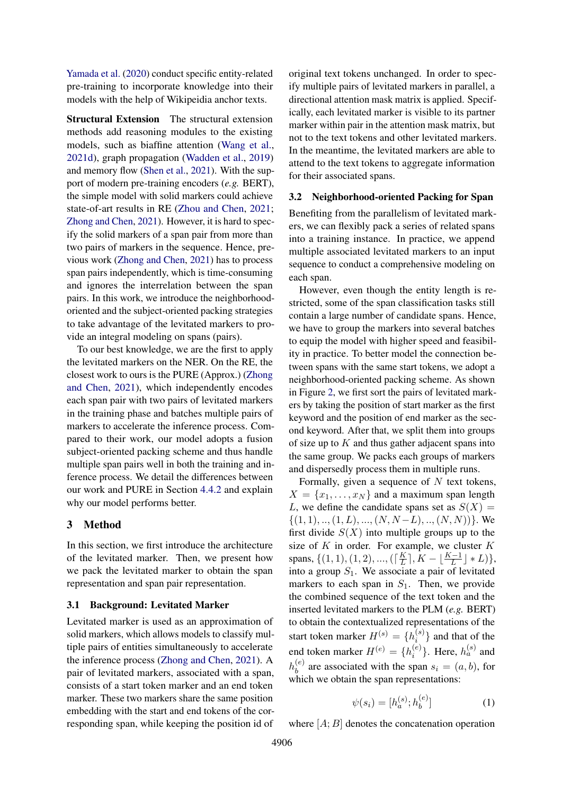[Yamada et al.](#page-11-8) [\(2020\)](#page-11-8) conduct specific entity-related pre-training to incorporate knowledge into their models with the help of Wikipeidia anchor texts.

Structural Extension The structural extension methods add reasoning modules to the existing models, such as biaffine attention [\(Wang et al.,](#page-11-9) [2021d\)](#page-11-9), graph propagation [\(Wadden et al.,](#page-10-0) [2019\)](#page-10-0) and memory flow [\(Shen et al.,](#page-10-9) [2021\)](#page-10-9). With the support of modern pre-training encoders (*e.g.* BERT), the simple model with solid markers could achieve state-of-art results in RE [\(Zhou and Chen,](#page-11-0) [2021;](#page-11-0) [Zhong and Chen,](#page-11-2) [2021\)](#page-11-2). However, it is hard to specify the solid markers of a span pair from more than two pairs of markers in the sequence. Hence, previous work [\(Zhong and Chen,](#page-11-2) [2021\)](#page-11-2) has to process span pairs independently, which is time-consuming and ignores the interrelation between the span pairs. In this work, we introduce the neighborhoodoriented and the subject-oriented packing strategies to take advantage of the levitated markers to provide an integral modeling on spans (pairs).

To our best knowledge, we are the first to apply the levitated markers on the NER. On the RE, the closest work to ours is the PURE (Approx.) [\(Zhong](#page-11-2) [and Chen,](#page-11-2) [2021\)](#page-11-2), which independently encodes each span pair with two pairs of levitated markers in the training phase and batches multiple pairs of markers to accelerate the inference process. Compared to their work, our model adopts a fusion subject-oriented packing scheme and thus handle multiple span pairs well in both the training and inference process. We detail the differences between our work and PURE in Section [4.4.2](#page-6-0) and explain why our model performs better.

# 3 Method

In this section, we first introduce the architecture of the levitated marker. Then, we present how we pack the levitated marker to obtain the span representation and span pair representation.

# 3.1 Background: Levitated Marker

Levitated marker is used as an approximation of solid markers, which allows models to classify multiple pairs of entities simultaneously to accelerate the inference process [\(Zhong and Chen,](#page-11-2) [2021\)](#page-11-2). A pair of levitated markers, associated with a span, consists of a start token marker and an end token marker. These two markers share the same position embedding with the start and end tokens of the corresponding span, while keeping the position id of

original text tokens unchanged. In order to specify multiple pairs of levitated markers in parallel, a directional attention mask matrix is applied. Specifically, each levitated marker is visible to its partner marker within pair in the attention mask matrix, but not to the text tokens and other levitated markers. In the meantime, the levitated markers are able to attend to the text tokens to aggregate information for their associated spans.

## 3.2 Neighborhood-oriented Packing for Span

Benefiting from the parallelism of levitated markers, we can flexibly pack a series of related spans into a training instance. In practice, we append multiple associated levitated markers to an input sequence to conduct a comprehensive modeling on each span.

However, even though the entity length is restricted, some of the span classification tasks still contain a large number of candidate spans. Hence, we have to group the markers into several batches to equip the model with higher speed and feasibility in practice. To better model the connection between spans with the same start tokens, we adopt a neighborhood-oriented packing scheme. As shown in Figure [2,](#page-3-0) we first sort the pairs of levitated markers by taking the position of start marker as the first keyword and the position of end marker as the second keyword. After that, we split them into groups of size up to  $K$  and thus gather adjacent spans into the same group. We packs each groups of markers and dispersedly process them in multiple runs.

Formally, given a sequence of  $N$  text tokens,  $X = \{x_1, \ldots, x_N\}$  and a maximum span length L, we define the candidate spans set as  $S(X) =$  $\{(1, 1), ..., (1, L), ..., (N, N - L), ..., (N, N)\}\.$  We first divide  $S(X)$  into multiple groups up to the size of  $K$  in order. For example, we cluster  $K$ spans,  $\{(1, 1), (1, 2), ..., (\lceil \frac{K}{L} \rceil \})$  $\frac{K}{L}$ ,  $K - \lfloor \frac{K-1}{L} \rfloor * L$ , into a group  $S_1$ . We associate a pair of levitated markers to each span in  $S_1$ . Then, we provide the combined sequence of the text token and the inserted levitated markers to the PLM (*e.g.* BERT) to obtain the contextualized representations of the start token marker  $H^{(s)} = \{h_i^{(s)}\}$  $\binom{s}{i}$  and that of the end token marker  $H^{(e)} = \{h_i^{(e)}\}$  $\binom{e}{i}$ . Here,  $h_a^{(s)}$  and  $h_h^{(e)}$  $b<sup>(e)</sup>$  are associated with the span  $s<sub>i</sub> = (a, b)$ , for which we obtain the span representations:

$$
\psi(s_i) = [h_a^{(s)}; h_b^{(e)}]
$$
 (1)

where  $[A; B]$  denotes the concatenation operation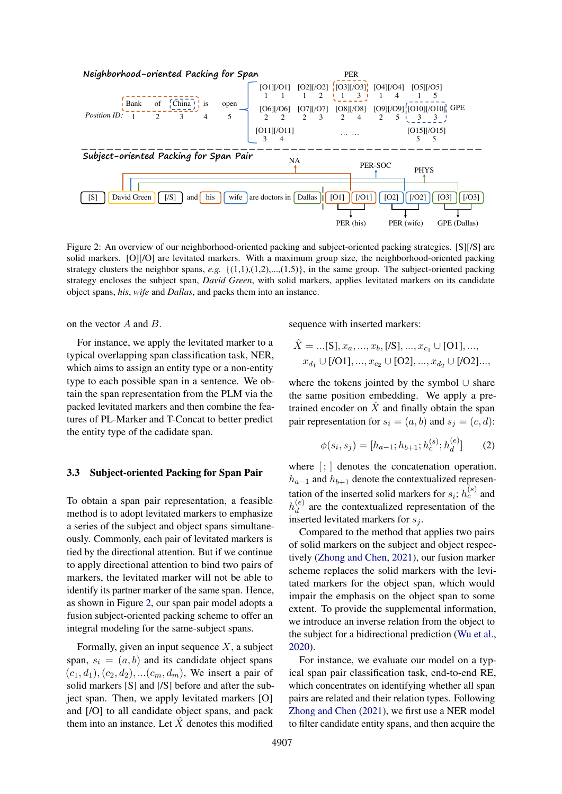<span id="page-3-0"></span>

Figure 2: An overview of our neighborhood-oriented packing and subject-oriented packing strategies. [S][/S] are solid markers. [O][/O] are levitated markers. With a maximum group size, the neighborhood-oriented packing strategy clusters the neighbor spans, *e.g.*  $\{(1,1),(1,2),...,(1,5)\}$ , in the same group. The subject-oriented packing strategy encloses the subject span, *David Green*, with solid markers, applies levitated markers on its candidate object spans, *his*, *wife* and *Dallas*, and packs them into an instance.

on the vector A and B.

For instance, we apply the levitated marker to a typical overlapping span classification task, NER, which aims to assign an entity type or a non-entity type to each possible span in a sentence. We obtain the span representation from the PLM via the packed levitated markers and then combine the features of PL-Marker and T-Concat to better predict the entity type of the cadidate span.

## 3.3 Subject-oriented Packing for Span Pair

To obtain a span pair representation, a feasible method is to adopt levitated markers to emphasize a series of the subject and object spans simultaneously. Commonly, each pair of levitated markers is tied by the directional attention. But if we continue to apply directional attention to bind two pairs of markers, the levitated marker will not be able to identify its partner marker of the same span. Hence, as shown in Figure [2,](#page-3-0) our span pair model adopts a fusion subject-oriented packing scheme to offer an integral modeling for the same-subject spans.

Formally, given an input sequence  $X$ , a subject span,  $s_i = (a, b)$  and its candidate object spans  $(c_1, d_1), (c_2, d_2), \ldots (c_m, d_m)$ , We insert a pair of solid markers [S] and [/S] before and after the subject span. Then, we apply levitated markers [O] and [/O] to all candidate object spans, and pack them into an instance. Let  $\hat{X}$  denotes this modified sequence with inserted markers:

$$
\hat{X} = ...[\mathbf{S}], x_a, ..., x_b, [\mathbf{S}], ..., x_{c_1} \cup [\mathbf{O}1], ...,
$$
  

$$
x_{d_1} \cup [\mathbf{O}1], ..., x_{c_2} \cup [\mathbf{O}2], ..., x_{d_2} \cup [\mathbf{O}2]...,
$$

where the tokens jointed by the symbol ∪ share the same position embedding. We apply a pretrained encoder on  $\tilde{X}$  and finally obtain the span pair representation for  $s_i = (a, b)$  and  $s_j = (c, d)$ :

$$
\phi(s_i, s_j) = [h_{a-1}; h_{b+1}; h_c^{(s)}; h_d^{(e)}]
$$
 (2)

where  $\left| \cdot \right|$  denotes the concatenation operation.  $h_{a-1}$  and  $h_{b+1}$  denote the contextualized representation of the inserted solid markers for  $s_i$ ;  $h_c^{(s)}$  and  $h_d^{(e)}$  $\alpha_d^{(e)}$  are the contextualized representation of the inserted levitated markers for  $s_i$ .

Compared to the method that applies two pairs of solid markers on the subject and object respectively [\(Zhong and Chen,](#page-11-2) [2021\)](#page-11-2), our fusion marker scheme replaces the solid markers with the levitated markers for the object span, which would impair the emphasis on the object span to some extent. To provide the supplemental information, we introduce an inverse relation from the object to the subject for a bidirectional prediction [\(Wu et al.,](#page-11-5) [2020\)](#page-11-5).

For instance, we evaluate our model on a typical span pair classification task, end-to-end RE, which concentrates on identifying whether all span pairs are related and their relation types. Following [Zhong and Chen](#page-11-2) [\(2021\)](#page-11-2), we first use a NER model to filter candidate entity spans, and then acquire the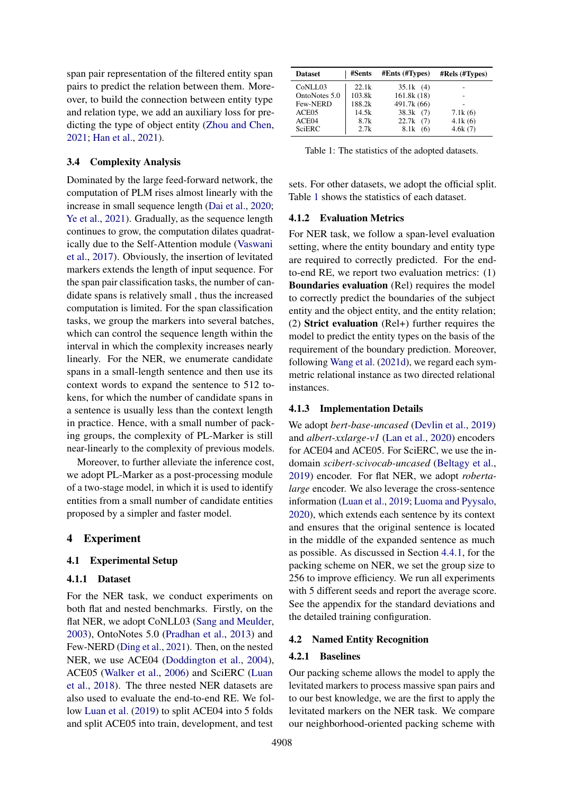span pair representation of the filtered entity span pairs to predict the relation between them. Moreover, to build the connection between entity type and relation type, we add an auxiliary loss for predicting the type of object entity [\(Zhou and Chen,](#page-11-0) [2021;](#page-11-0) [Han et al.,](#page-8-4) [2021\)](#page-8-4).

# 3.4 Complexity Analysis

Dominated by the large feed-forward network, the computation of PLM rises almost linearly with the increase in small sequence length [\(Dai et al.,](#page-8-5) [2020;](#page-8-5) [Ye et al.,](#page-11-4) [2021\)](#page-11-4). Gradually, as the sequence length continues to grow, the computation dilates quadratically due to the Self-Attention module [\(Vaswani](#page-10-10) [et al.,](#page-10-10) [2017\)](#page-10-10). Obviously, the insertion of levitated markers extends the length of input sequence. For the span pair classification tasks, the number of candidate spans is relatively small , thus the increased computation is limited. For the span classification tasks, we group the markers into several batches, which can control the sequence length within the interval in which the complexity increases nearly linearly. For the NER, we enumerate candidate spans in a small-length sentence and then use its context words to expand the sentence to 512 tokens, for which the number of candidate spans in a sentence is usually less than the context length in practice. Hence, with a small number of packing groups, the complexity of PL-Marker is still near-linearly to the complexity of previous models.

Moreover, to further alleviate the inference cost, we adopt PL-Marker as a post-processing module of a two-stage model, in which it is used to identify entities from a small number of candidate entities proposed by a simpler and faster model.

## 4 Experiment

# 4.1 Experimental Setup

# 4.1.1 Dataset

For the NER task, we conduct experiments on both flat and nested benchmarks. Firstly, on the flat NER, we adopt CoNLL03 [\(Sang and Meulder,](#page-10-11) [2003\)](#page-10-11), OntoNotes 5.0 [\(Pradhan et al.,](#page-10-12) [2013\)](#page-10-12) and Few-NERD [\(Ding et al.,](#page-8-6) [2021\)](#page-8-6). Then, on the nested NER, we use ACE04 [\(Doddington et al.,](#page-8-7) [2004\)](#page-8-7), ACE05 [\(Walker et al.,](#page-10-13) [2006\)](#page-10-13) and SciERC [\(Luan](#page-9-7) [et al.,](#page-9-7) [2018\)](#page-9-7). The three nested NER datasets are also used to evaluate the end-to-end RE. We follow [Luan et al.](#page-9-3) [\(2019\)](#page-9-3) to split ACE04 into 5 folds and split ACE05 into train, development, and test

<span id="page-4-0"></span>

| <b>Dataset</b> | #Sents | $#Ents$ ( $#Types$ ) | #Rels (#Types) |
|----------------|--------|----------------------|----------------|
| CoNLL03        | 22.1k  | 35.1k(4)             |                |
| OntoNotes 5.0  | 103.8k | 161.8k (18)          |                |
| Few-NERD       | 188.2k | 491.7k (66)          |                |
| ACE05          | 14.5k  | 38.3k(7)             | 7.1k(6)        |
| ACE04          | 8.7k   | 22.7k(7)             | 4.1k(6)        |
| SciERC         | 2.7k   | 8.1k<br>(6)          | 4.6k(7)        |

Table 1: The statistics of the adopted datasets.

sets. For other datasets, we adopt the official split. Table [1](#page-4-0) shows the statistics of each dataset.

### 4.1.2 Evaluation Metrics

For NER task, we follow a span-level evaluation setting, where the entity boundary and entity type are required to correctly predicted. For the endto-end RE, we report two evaluation metrics: (1) Boundaries evaluation (Rel) requires the model to correctly predict the boundaries of the subject entity and the object entity, and the entity relation; (2) Strict evaluation (Rel+) further requires the model to predict the entity types on the basis of the requirement of the boundary prediction. Moreover, following [Wang et al.](#page-11-9) [\(2021d\)](#page-11-9), we regard each symmetric relational instance as two directed relational instances.

## 4.1.3 Implementation Details

We adopt *bert-base-uncased* [\(Devlin et al.,](#page-8-0) [2019\)](#page-8-0) and *albert-xxlarge-v1* [\(Lan et al.,](#page-9-8) [2020\)](#page-9-8) encoders for ACE04 and ACE05. For SciERC, we use the indomain *scibert-scivocab-uncased* [\(Beltagy et al.,](#page-8-8) [2019\)](#page-8-8) encoder. For flat NER, we adopt *robertalarge* encoder. We also leverage the cross-sentence information [\(Luan et al.,](#page-9-3) [2019;](#page-9-3) [Luoma and Pyysalo,](#page-9-9) [2020\)](#page-9-9), which extends each sentence by its context and ensures that the original sentence is located in the middle of the expanded sentence as much as possible. As discussed in Section [4.4.1,](#page-5-0) for the packing scheme on NER, we set the group size to 256 to improve efficiency. We run all experiments with 5 different seeds and report the average score. See the appendix for the standard deviations and the detailed training configuration.

## 4.2 Named Entity Recognition

# 4.2.1 Baselines

Our packing scheme allows the model to apply the levitated markers to process massive span pairs and to our best knowledge, we are the first to apply the levitated markers on the NER task. We compare our neighborhood-oriented packing scheme with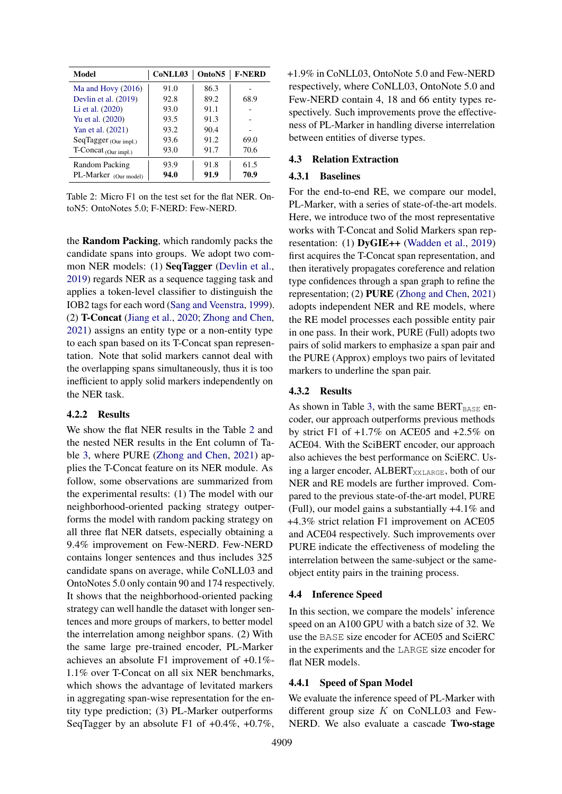<span id="page-5-1"></span>

| Model                 | CoNLL03 | Onto <sub>N5</sub> | <b>F-NERD</b> |
|-----------------------|---------|--------------------|---------------|
| Ma and Hovy $(2016)$  | 91.0    | 86.3               |               |
| Devlin et al. (2019)  | 92.8    | 89.2               | 68.9          |
| Li et al. (2020)      | 93.0    | 91.1               |               |
| Yu et al. (2020)      | 93.5    | 91.3               |               |
| Yan et al. (2021)     | 93.2    | 90.4               |               |
| SeqTagger (Our impl.) | 93.6    | 91.2               | 69.0          |
| T-Concat (Our impl.)  | 93.0    | 91.7               | 70.6          |
| Random Packing        | 93.9    | 91.8               | 61.5          |
| PL-Marker (Our model) | 94.0    | 91.9               | 70.9          |

Table 2: Micro F1 on the test set for the flat NER. OntoN5: OntoNotes 5.0; F-NERD: Few-NERD.

the Random Packing, which randomly packs the candidate spans into groups. We adopt two common NER models: (1) **SeqTagger** [\(Devlin et al.,](#page-8-0) [2019\)](#page-8-0) regards NER as a sequence tagging task and applies a token-level classifier to distinguish the IOB2 tags for each word [\(Sang and Veenstra,](#page-10-14) [1999\)](#page-10-14). (2) T-Concat [\(Jiang et al.,](#page-8-2) [2020;](#page-8-2) [Zhong and Chen,](#page-11-2) [2021\)](#page-11-2) assigns an entity type or a non-entity type to each span based on its T-Concat span representation. Note that solid markers cannot deal with the overlapping spans simultaneously, thus it is too inefficient to apply solid markers independently on the NER task.

## 4.2.2 Results

We show the flat NER results in the Table [2](#page-5-1) and the nested NER results in the Ent column of Table [3,](#page-6-1) where PURE [\(Zhong and Chen,](#page-11-2) [2021\)](#page-11-2) applies the T-Concat feature on its NER module. As follow, some observations are summarized from the experimental results: (1) The model with our neighborhood-oriented packing strategy outperforms the model with random packing strategy on all three flat NER datsets, especially obtaining a 9.4% improvement on Few-NERD. Few-NERD contains longer sentences and thus includes 325 candidate spans on average, while CoNLL03 and OntoNotes 5.0 only contain 90 and 174 respectively. It shows that the neighborhood-oriented packing strategy can well handle the dataset with longer sentences and more groups of markers, to better model the interrelation among neighbor spans. (2) With the same large pre-trained encoder, PL-Marker achieves an absolute F1 improvement of +0.1%- 1.1% over T-Concat on all six NER benchmarks, which shows the advantage of levitated markers in aggregating span-wise representation for the entity type prediction; (3) PL-Marker outperforms SeqTagger by an absolute F1 of  $+0.4\%$ ,  $+0.7\%$ ,

+1.9% in CoNLL03, OntoNote 5.0 and Few-NERD respectively, where CoNLL03, OntoNote 5.0 and Few-NERD contain 4, 18 and 66 entity types respectively. Such improvements prove the effectiveness of PL-Marker in handling diverse interrelation between entities of diverse types.

# 4.3 Relation Extraction

# 4.3.1 Baselines

For the end-to-end RE, we compare our model, PL-Marker, with a series of state-of-the-art models. Here, we introduce two of the most representative works with T-Concat and Solid Markers span representation: (1) DyGIE++ [\(Wadden et al.,](#page-10-0) [2019\)](#page-10-0) first acquires the T-Concat span representation, and then iteratively propagates coreference and relation type confidences through a span graph to refine the representation; (2) PURE [\(Zhong and Chen,](#page-11-2) [2021\)](#page-11-2) adopts independent NER and RE models, where the RE model processes each possible entity pair in one pass. In their work, PURE (Full) adopts two pairs of solid markers to emphasize a span pair and the PURE (Approx) employs two pairs of levitated markers to underline the span pair.

### 4.3.2 Results

As shown in Table [3,](#page-6-1) with the same  $BERT_{BASE}$  encoder, our approach outperforms previous methods by strict F1 of +1.7% on ACE05 and +2.5% on ACE04. With the SciBERT encoder, our approach also achieves the best performance on SciERC. Using a larger encoder, ALBERT<sub>XXLARGE</sub>, both of our NER and RE models are further improved. Compared to the previous state-of-the-art model, PURE (Full), our model gains a substantially +4.1% and +4.3% strict relation F1 improvement on ACE05 and ACE04 respectively. Such improvements over PURE indicate the effectiveness of modeling the interrelation between the same-subject or the sameobject entity pairs in the training process.

## 4.4 Inference Speed

In this section, we compare the models' inference speed on an A100 GPU with a batch size of 32. We use the BASE size encoder for ACE05 and SciERC in the experiments and the LARGE size encoder for flat NER models.

## <span id="page-5-0"></span>4.4.1 Speed of Span Model

We evaluate the inference speed of PL-Marker with different group size  $K$  on CoNLL03 and Few-NERD. We also evaluate a cascade Two-stage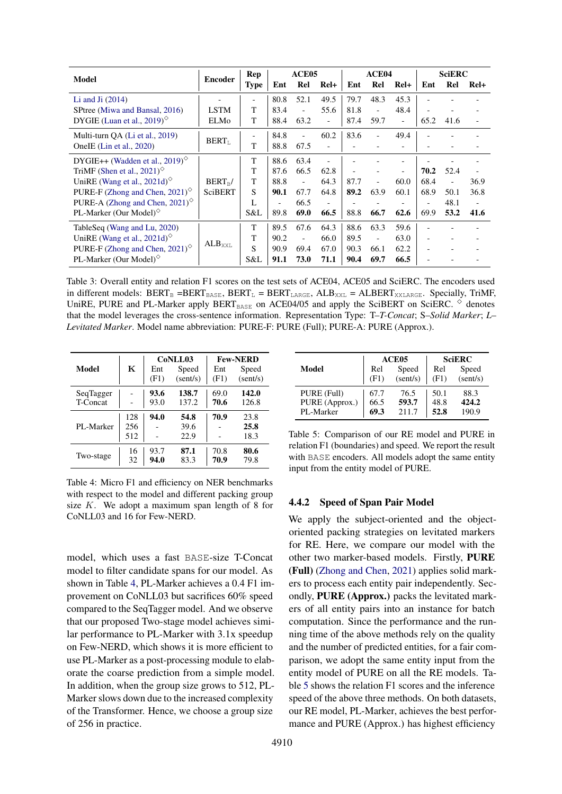<span id="page-6-1"></span>

| Model                                                             | <b>Encoder</b>     | Rep         |                          | ACE <sub>05</sub>        |                | ACE <sub>04</sub> |                          |                          | <b>SciERC</b>            |      |                |
|-------------------------------------------------------------------|--------------------|-------------|--------------------------|--------------------------|----------------|-------------------|--------------------------|--------------------------|--------------------------|------|----------------|
|                                                                   |                    | <b>Type</b> | Ent                      | Rel                      | $Rel+$         | Ent               | Rel                      | $Rel+$                   | Ent                      | Rel  | $ReI+$         |
| Li and Ji $(2014)$                                                |                    |             | 80.8                     | 52.1                     | 49.5           | 79.7              | 48.3                     | 45.3                     |                          |      |                |
| SPtree (Miwa and Bansal, 2016)                                    | <b>LSTM</b>        | T           | 83.4                     | $\overline{\phantom{a}}$ | 55.6           | 81.8              | $\overline{\phantom{a}}$ | 48.4                     |                          |      |                |
| DYGIE (Luan et al., 2019) $^{\circ}$                              | ELMo               | T           | 88.4                     | 63.2                     | $\blacksquare$ | 87.4              | 59.7                     | $\overline{\phantom{a}}$ | 65.2                     | 41.6 |                |
| Multi-turn QA (Li et al., 2019)                                   | $BERT_{L}$         |             | 84.8                     |                          | 60.2           | 83.6              | Ξ.                       | 49.4                     |                          |      |                |
| OneIE (Lin et al., 2020)                                          |                    | T           | 88.8                     | 67.5                     |                |                   |                          |                          |                          |      |                |
| DYGIE++ (Wadden et al., 2019) <sup><math>\diamond</math></sup>    |                    | T           | 88.6                     | 63.4                     |                |                   |                          |                          |                          |      |                |
| TriMF (Shen et al., 2021) $\circ$                                 |                    | T           | 87.6                     | 66.5                     | 62.8           |                   |                          |                          | 70.2                     | 52.4 |                |
| UniRE (Wang et al., 2021d) $^{\diamond}$                          | $BERT_{B}/$        | T           | 88.8                     | $\overline{\phantom{a}}$ | 64.3           | 87.7              |                          | 60.0                     | 68.4                     |      | 36.9           |
| PURE-F (Zhong and Chen, $2021$ ) <sup><math>\circ</math></sup>    | <b>SciBERT</b>     | S           | 90.1                     | 67.7                     | 64.8           | 89.2              | 63.9                     | 60.1                     | 68.9                     | 50.1 | 36.8           |
| PURE-A (Zhong and Chen, $2021$ ) <sup><math>\diamond</math></sup> |                    | L           | $\overline{\phantom{a}}$ | 66.5                     | $\blacksquare$ |                   |                          |                          | $\overline{\phantom{a}}$ | 48.1 | $\blacksquare$ |
| PL-Marker (Our Model) $^{\diamond}$                               |                    | S&L         | 89.8                     | 69.0                     | 66.5           | 88.8              | 66.7                     | 62.6                     | 69.9                     | 53.2 | 41.6           |
| TableSeq (Wang and Lu, 2020)                                      |                    | T           | 89.5                     | 67.6                     | 64.3           | 88.6              | 63.3                     | 59.6                     |                          |      |                |
| UniRE (Wang et al., 2021d) $\circ$                                | ALB <sub>XXL</sub> | T           | 90.2                     | $\overline{\phantom{a}}$ | 66.0           | 89.5              |                          | 63.0                     |                          |      |                |
| PURE-F (Zhong and Chen, 2021) $\circ$                             |                    | S           | 90.9                     | 69.4                     | 67.0           | 90.3              | 66.1                     | 62.2                     |                          |      |                |
| PL-Marker (Our Model) $\degree$                                   |                    | S&L         | 91.1                     | 73.0                     | 71.1           | 90.4              | 69.7                     | 66.5                     |                          |      |                |

Table 3: Overall entity and relation F1 scores on the test sets of ACE04, ACE05 and SciERC. The encoders used in different models:  $BERT_B = BERT_{BASE}$ ,  $BERT_L = BERT_{LARGE}$ ,  $ALB_{XXL} = ALBERT_{XXLARGE}$ . Specially, TriMF, UniRE, PURE and PL-Marker apply  $BERT_{BASE}$  on ACE04/05 and apply the SciBERT on SciERC.  $\diamond$  denotes that the model leverages the cross-sentence information. Representation Type: T–*T-Concat*; S–*Solid Marker*; *L*– *Levitated Marker*. Model name abbreviation: PURE-F: PURE (Full); PURE-A: PURE (Approx.).

<span id="page-6-2"></span>

|                 |     |             | CoNLL03           | <b>Few-NERD</b> |                   |  |
|-----------------|-----|-------------|-------------------|-----------------|-------------------|--|
| Model           | K   | Ent<br>(F1) | Speed<br>(sent/s) | Ent<br>(F1)     | Speed<br>(sent/s) |  |
|                 |     |             |                   |                 |                   |  |
| SeqTagger       |     | 93.6        | 138.7             | 69.0            | 142.0             |  |
| <b>T-Concat</b> |     | 93.0        | 137.2             | 70.6            | 126.8             |  |
|                 | 128 | 94.0        | 54.8              | 70.9            | 23.8              |  |
| PL-Marker       | 256 |             | 39.6              |                 | 25.8              |  |
|                 | 512 |             | 22.9              |                 | 18.3              |  |
|                 | 16  | 93.7        | 87.1              | 70.8            | 80.6              |  |
| Two-stage       | 32  | 94.0        | 83.3              | 70.9            | 79.8              |  |

Table 4: Micro F1 and efficiency on NER benchmarks with respect to the model and different packing group size  $K$ . We adopt a maximum span length of 8 for CoNLL03 and 16 for Few-NERD.

model, which uses a fast BASE-size T-Concat model to filter candidate spans for our model. As shown in Table [4,](#page-6-2) PL-Marker achieves a 0.4 F1 improvement on CoNLL03 but sacrifices 60% speed compared to the SeqTagger model. And we observe that our proposed Two-stage model achieves similar performance to PL-Marker with 3.1x speedup on Few-NERD, which shows it is more efficient to use PL-Marker as a post-processing module to elaborate the coarse prediction from a simple model. In addition, when the group size grows to 512, PL-Marker slows down due to the increased complexity of the Transformer. Hence, we choose a group size of 256 in practice.

<span id="page-6-3"></span>

|                |      | ACE <sub>05</sub> | <b>SciERC</b> |          |  |
|----------------|------|-------------------|---------------|----------|--|
| Model          | Rel  | Speed             | Rel           | Speed    |  |
|                | (F1) | (sent/s)          | (F1)          | (sent/s) |  |
| PURE (Full)    | 67.7 | 76.5              | 50.1          | 88.3     |  |
| PURE (Approx.) | 66.5 | 593.7             | 48.8          | 424.2    |  |
| PL-Marker      | 69.3 | 211.7             | 52.8          | 190.9    |  |
|                |      |                   |               |          |  |

Table 5: Comparison of our RE model and PURE in relation F1 (boundaries) and speed. We report the result with BASE encoders. All models adopt the same entity input from the entity model of PURE.

# <span id="page-6-0"></span>4.4.2 Speed of Span Pair Model

We apply the subject-oriented and the objectoriented packing strategies on levitated markers for RE. Here, we compare our model with the other two marker-based models. Firstly, PURE (Full) [\(Zhong and Chen,](#page-11-2) [2021\)](#page-11-2) applies solid markers to process each entity pair independently. Secondly, PURE (Approx.) packs the levitated markers of all entity pairs into an instance for batch computation. Since the performance and the running time of the above methods rely on the quality and the number of predicted entities, for a fair comparison, we adopt the same entity input from the entity model of PURE on all the RE models. Table [5](#page-6-3) shows the relation F1 scores and the inference speed of the above three methods. On both datasets, our RE model, PL-Marker, achieves the best performance and PURE (Approx.) has highest efficiency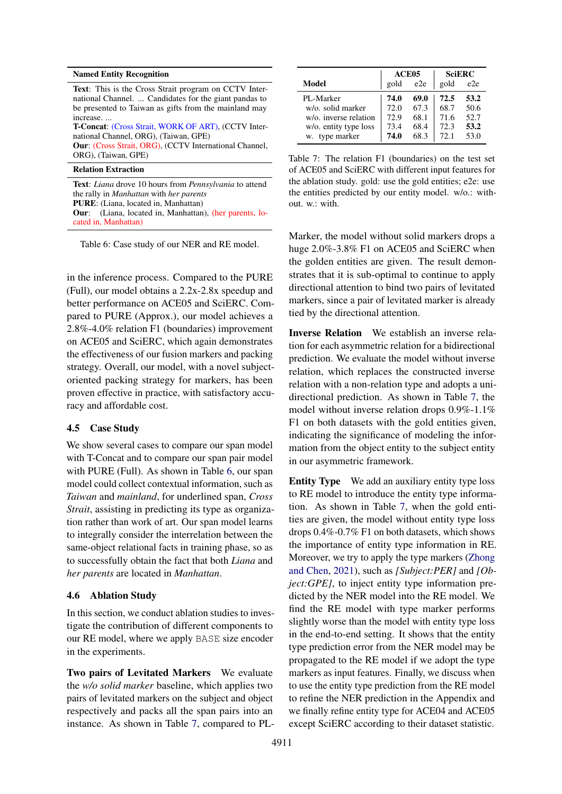#### <span id="page-7-0"></span>Named Entity Recognition

Text: This is the Cross Strait program on CCTV International Channel. ... Candidates for the giant pandas to be presented to Taiwan as gifts from the mainland may increase. ... T-Concat: (Cross Strait, WORK OF ART), (CCTV International Channel, ORG), (Taiwan, GPE) Our: (Cross Strait, ORG), (CCTV International Channel, ORG), (Taiwan, GPE)

# Relation Extraction

Text: *Liana* drove 10 hours from *Pennsylvania* to attend the rally in *Manhattan* with *her parents* PURE: (Liana, located in, Manhattan) Our: (Liana, located in, Manhattan), (her parents, located in, Manhattan)

Table 6: Case study of our NER and RE model.

in the inference process. Compared to the PURE (Full), our model obtains a 2.2x-2.8x speedup and better performance on ACE05 and SciERC. Compared to PURE (Approx.), our model achieves a 2.8%-4.0% relation F1 (boundaries) improvement on ACE05 and SciERC, which again demonstrates the effectiveness of our fusion markers and packing strategy. Overall, our model, with a novel subjectoriented packing strategy for markers, has been proven effective in practice, with satisfactory accuracy and affordable cost.

#### 4.5 Case Study

We show several cases to compare our span model with T-Concat and to compare our span pair model with PURE (Full). As shown in Table [6,](#page-7-0) our span model could collect contextual information, such as *Taiwan* and *mainland*, for underlined span, *Cross Strait*, assisting in predicting its type as organization rather than work of art. Our span model learns to integrally consider the interrelation between the same-object relational facts in training phase, so as to successfully obtain the fact that both *Liana* and *her parents* are located in *Manhattan*.

## 4.6 Ablation Study

In this section, we conduct ablation studies to investigate the contribution of different components to our RE model, where we apply BASE size encoder in the experiments.

Two pairs of Levitated Markers We evaluate the *w/o solid marker* baseline, which applies two pairs of levitated markers on the subject and object respectively and packs all the span pairs into an instance. As shown in Table [7,](#page-7-1) compared to PL-

<span id="page-7-1"></span>

|                       | ACE <sub>05</sub> |                 |      | <b>SciERC</b> |
|-----------------------|-------------------|-----------------|------|---------------|
| Model                 | gold              | e <sub>2e</sub> | gold | e2e           |
| PL-Marker             | 74.0              | 69.0            | 72.5 | 53.2          |
| w/o. solid marker     | 72.0              | 67.3            | 68.7 | 50.6          |
| w/o. inverse relation | 72.9              | 68.1            | 71.6 | 52.7          |
| w/o. entity type loss | 73.4              | 68.4            | 72.3 | 53.2          |
| type marker<br>w.     | 74.0              | 68.3            | 72.1 | 53.0          |

Table 7: The relation F1 (boundaries) on the test set of ACE05 and SciERC with different input features for the ablation study. gold: use the gold entities; e2e: use the entities predicted by our entity model. w/o.: without. w.: with.

Marker, the model without solid markers drops a huge  $2.0\%$ -3.8% F1 on ACE05 and SciERC when the golden entities are given. The result demonstrates that it is sub-optimal to continue to apply directional attention to bind two pairs of levitated markers, since a pair of levitated marker is already tied by the directional attention.

Inverse Relation We establish an inverse relation for each asymmetric relation for a bidirectional prediction. We evaluate the model without inverse relation, which replaces the constructed inverse relation with a non-relation type and adopts a unidirectional prediction. As shown in Table [7,](#page-7-1) the model without inverse relation drops 0.9%-1.1% F1 on both datasets with the gold entities given, indicating the significance of modeling the information from the object entity to the subject entity in our asymmetric framework.

Entity Type We add an auxiliary entity type loss to RE model to introduce the entity type information. As shown in Table [7,](#page-7-1) when the gold entities are given, the model without entity type loss drops 0.4%-0.7% F1 on both datasets, which shows the importance of entity type information in RE. Moreover, we try to apply the type markers [\(Zhong](#page-11-2) [and Chen,](#page-11-2) [2021\)](#page-11-2), such as *[Subject:PER]* and *[Object:GPE]*, to inject entity type information predicted by the NER model into the RE model. We find the RE model with type marker performs slightly worse than the model with entity type loss in the end-to-end setting. It shows that the entity type prediction error from the NER model may be propagated to the RE model if we adopt the type markers as input features. Finally, we discuss when to use the entity type prediction from the RE model to refine the NER prediction in the Appendix and we finally refine entity type for ACE04 and ACE05 except SciERC according to their dataset statistic.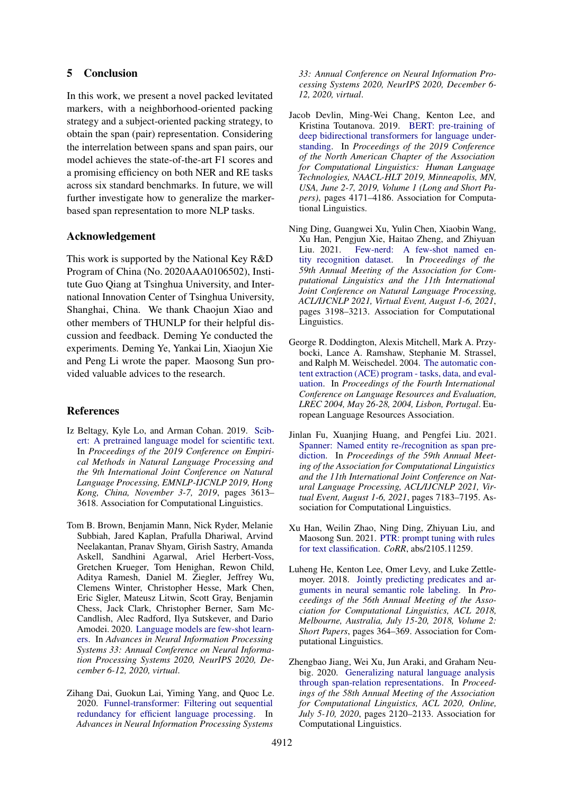# 5 Conclusion

In this work, we present a novel packed levitated markers, with a neighborhood-oriented packing strategy and a subject-oriented packing strategy, to obtain the span (pair) representation. Considering the interrelation between spans and span pairs, our model achieves the state-of-the-art F1 scores and a promising efficiency on both NER and RE tasks across six standard benchmarks. In future, we will further investigate how to generalize the markerbased span representation to more NLP tasks.

# Acknowledgement

This work is supported by the National Key R&D Program of China (No. 2020AAA0106502), Institute Guo Qiang at Tsinghua University, and International Innovation Center of Tsinghua University, Shanghai, China. We thank Chaojun Xiao and other members of THUNLP for their helpful discussion and feedback. Deming Ye conducted the experiments. Deming Ye, Yankai Lin, Xiaojun Xie and Peng Li wrote the paper. Maosong Sun provided valuable advices to the research.

# References

- <span id="page-8-8"></span>Iz Beltagy, Kyle Lo, and Arman Cohan. 2019. [Scib](https://doi.org/10.18653/v1/D19-1371)[ert: A pretrained language model for scientific text.](https://doi.org/10.18653/v1/D19-1371) In *Proceedings of the 2019 Conference on Empirical Methods in Natural Language Processing and the 9th International Joint Conference on Natural Language Processing, EMNLP-IJCNLP 2019, Hong Kong, China, November 3-7, 2019*, pages 3613– 3618. Association for Computational Linguistics.
- <span id="page-8-9"></span>Tom B. Brown, Benjamin Mann, Nick Ryder, Melanie Subbiah, Jared Kaplan, Prafulla Dhariwal, Arvind Neelakantan, Pranav Shyam, Girish Sastry, Amanda Askell, Sandhini Agarwal, Ariel Herbert-Voss, Gretchen Krueger, Tom Henighan, Rewon Child, Aditya Ramesh, Daniel M. Ziegler, Jeffrey Wu, Clemens Winter, Christopher Hesse, Mark Chen, Eric Sigler, Mateusz Litwin, Scott Gray, Benjamin Chess, Jack Clark, Christopher Berner, Sam Mc-Candlish, Alec Radford, Ilya Sutskever, and Dario Amodei. 2020. [Language models are few-shot learn](https://proceedings.neurips.cc/paper/2020/hash/1457c0d6bfcb4967418bfb8ac142f64a-Abstract.html)[ers.](https://proceedings.neurips.cc/paper/2020/hash/1457c0d6bfcb4967418bfb8ac142f64a-Abstract.html) In *Advances in Neural Information Processing Systems 33: Annual Conference on Neural Information Processing Systems 2020, NeurIPS 2020, December 6-12, 2020, virtual*.
- <span id="page-8-5"></span>Zihang Dai, Guokun Lai, Yiming Yang, and Quoc Le. 2020. [Funnel-transformer: Filtering out sequential](https://proceedings.neurips.cc/paper/2020/hash/2cd2915e69546904e4e5d4a2ac9e1652-Abstract.html) [redundancy for efficient language processing.](https://proceedings.neurips.cc/paper/2020/hash/2cd2915e69546904e4e5d4a2ac9e1652-Abstract.html) In *Advances in Neural Information Processing Systems*

*33: Annual Conference on Neural Information Processing Systems 2020, NeurIPS 2020, December 6- 12, 2020, virtual*.

- <span id="page-8-0"></span>Jacob Devlin, Ming-Wei Chang, Kenton Lee, and Kristina Toutanova. 2019. [BERT: pre-training of](https://doi.org/10.18653/v1/n19-1423) [deep bidirectional transformers for language under](https://doi.org/10.18653/v1/n19-1423)[standing.](https://doi.org/10.18653/v1/n19-1423) In *Proceedings of the 2019 Conference of the North American Chapter of the Association for Computational Linguistics: Human Language Technologies, NAACL-HLT 2019, Minneapolis, MN, USA, June 2-7, 2019, Volume 1 (Long and Short Papers)*, pages 4171–4186. Association for Computational Linguistics.
- <span id="page-8-6"></span>Ning Ding, Guangwei Xu, Yulin Chen, Xiaobin Wang, Xu Han, Pengjun Xie, Haitao Zheng, and Zhiyuan Liu. 2021. [Few-nerd: A few-shot named en](https://doi.org/10.18653/v1/2021.acl-long.248)[tity recognition dataset.](https://doi.org/10.18653/v1/2021.acl-long.248) In *Proceedings of the 59th Annual Meeting of the Association for Computational Linguistics and the 11th International Joint Conference on Natural Language Processing, ACL/IJCNLP 2021, Virtual Event, August 1-6, 2021*, pages 3198–3213. Association for Computational Linguistics.
- <span id="page-8-7"></span>George R. Doddington, Alexis Mitchell, Mark A. Przybocki, Lance A. Ramshaw, Stephanie M. Strassel, and Ralph M. Weischedel. 2004. [The automatic con](http://www.lrec-conf.org/proceedings/lrec2004/summaries/5.htm)[tent extraction \(ACE\) program - tasks, data, and eval](http://www.lrec-conf.org/proceedings/lrec2004/summaries/5.htm)[uation.](http://www.lrec-conf.org/proceedings/lrec2004/summaries/5.htm) In *Proceedings of the Fourth International Conference on Language Resources and Evaluation, LREC 2004, May 26-28, 2004, Lisbon, Portugal*. European Language Resources Association.
- <span id="page-8-1"></span>Jinlan Fu, Xuanjing Huang, and Pengfei Liu. 2021. [Spanner: Named entity re-/recognition as span pre](https://doi.org/10.18653/v1/2021.acl-long.558)[diction.](https://doi.org/10.18653/v1/2021.acl-long.558) In *Proceedings of the 59th Annual Meeting of the Association for Computational Linguistics and the 11th International Joint Conference on Natural Language Processing, ACL/IJCNLP 2021, Virtual Event, August 1-6, 2021*, pages 7183–7195. Association for Computational Linguistics.
- <span id="page-8-4"></span>Xu Han, Weilin Zhao, Ning Ding, Zhiyuan Liu, and Maosong Sun. 2021. [PTR: prompt tuning with rules](http://arxiv.org/abs/2105.11259) [for text classification.](http://arxiv.org/abs/2105.11259) *CoRR*, abs/2105.11259.
- <span id="page-8-3"></span>Luheng He, Kenton Lee, Omer Levy, and Luke Zettle-moyer. 2018. [Jointly predicting predicates and ar](https://doi.org/10.18653/v1/P18-2058)[guments in neural semantic role labeling.](https://doi.org/10.18653/v1/P18-2058) In *Proceedings of the 56th Annual Meeting of the Association for Computational Linguistics, ACL 2018, Melbourne, Australia, July 15-20, 2018, Volume 2: Short Papers*, pages 364–369. Association for Computational Linguistics.
- <span id="page-8-2"></span>Zhengbao Jiang, Wei Xu, Jun Araki, and Graham Neubig. 2020. [Generalizing natural language analysis](https://doi.org/10.18653/v1/2020.acl-main.192) [through span-relation representations.](https://doi.org/10.18653/v1/2020.acl-main.192) In *Proceedings of the 58th Annual Meeting of the Association for Computational Linguistics, ACL 2020, Online, July 5-10, 2020*, pages 2120–2133. Association for Computational Linguistics.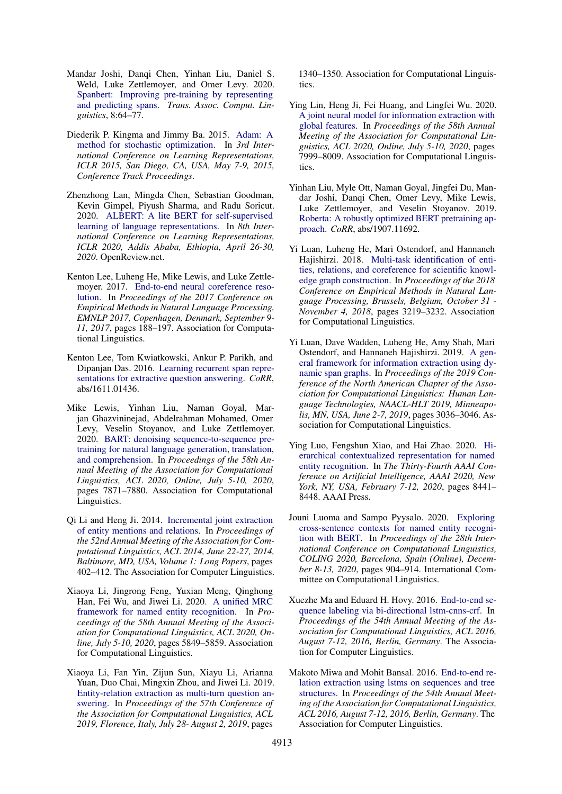- <span id="page-9-6"></span>Mandar Joshi, Danqi Chen, Yinhan Liu, Daniel S. Weld, Luke Zettlemoyer, and Omer Levy. 2020. [Spanbert: Improving pre-training by representing](https://transacl.org/ojs/index.php/tacl/article/view/1853) [and predicting spans.](https://transacl.org/ojs/index.php/tacl/article/view/1853) *Trans. Assoc. Comput. Linguistics*, 8:64–77.
- <span id="page-9-16"></span>Diederik P. Kingma and Jimmy Ba. 2015. [Adam: A](http://arxiv.org/abs/1412.6980) [method for stochastic optimization.](http://arxiv.org/abs/1412.6980) In *3rd International Conference on Learning Representations, ICLR 2015, San Diego, CA, USA, May 7-9, 2015, Conference Track Proceedings*.
- <span id="page-9-8"></span>Zhenzhong Lan, Mingda Chen, Sebastian Goodman, Kevin Gimpel, Piyush Sharma, and Radu Soricut. 2020. [ALBERT: A lite BERT for self-supervised](https://openreview.net/forum?id=H1eA7AEtvS) [learning of language representations.](https://openreview.net/forum?id=H1eA7AEtvS) In *8th International Conference on Learning Representations, ICLR 2020, Addis Ababa, Ethiopia, April 26-30, 2020*. OpenReview.net.
- <span id="page-9-2"></span>Kenton Lee, Luheng He, Mike Lewis, and Luke Zettlemoyer. 2017. [End-to-end neural coreference reso](https://doi.org/10.18653/v1/d17-1018)[lution.](https://doi.org/10.18653/v1/d17-1018) In *Proceedings of the 2017 Conference on Empirical Methods in Natural Language Processing, EMNLP 2017, Copenhagen, Denmark, September 9- 11, 2017*, pages 188–197. Association for Computational Linguistics.
- <span id="page-9-4"></span>Kenton Lee, Tom Kwiatkowski, Ankur P. Parikh, and Dipanjan Das. 2016. [Learning recurrent span repre](http://arxiv.org/abs/1611.01436)[sentations for extractive question answering.](http://arxiv.org/abs/1611.01436) *CoRR*, abs/1611.01436.
- <span id="page-9-5"></span>Mike Lewis, Yinhan Liu, Naman Goyal, Marjan Ghazvininejad, Abdelrahman Mohamed, Omer Levy, Veselin Stoyanov, and Luke Zettlemoyer. 2020. [BART: denoising sequence-to-sequence pre](https://doi.org/10.18653/v1/2020.acl-main.703)[training for natural language generation, translation,](https://doi.org/10.18653/v1/2020.acl-main.703) [and comprehension.](https://doi.org/10.18653/v1/2020.acl-main.703) In *Proceedings of the 58th Annual Meeting of the Association for Computational Linguistics, ACL 2020, Online, July 5-10, 2020*, pages 7871–7880. Association for Computational Linguistics.
- <span id="page-9-12"></span>Qi Li and Heng Ji. 2014. [Incremental joint extraction](https://doi.org/10.3115/v1/p14-1038) [of entity mentions and relations.](https://doi.org/10.3115/v1/p14-1038) In *Proceedings of the 52nd Annual Meeting of the Association for Computational Linguistics, ACL 2014, June 22-27, 2014, Baltimore, MD, USA, Volume 1: Long Papers*, pages 402–412. The Association for Computer Linguistics.
- <span id="page-9-11"></span>Xiaoya Li, Jingrong Feng, Yuxian Meng, Qinghong Han, Fei Wu, and Jiwei Li. 2020. [A unified MRC](https://doi.org/10.18653/v1/2020.acl-main.519) [framework for named entity recognition.](https://doi.org/10.18653/v1/2020.acl-main.519) In *Proceedings of the 58th Annual Meeting of the Association for Computational Linguistics, ACL 2020, Online, July 5-10, 2020*, pages 5849–5859. Association for Computational Linguistics.
- <span id="page-9-14"></span>Xiaoya Li, Fan Yin, Zijun Sun, Xiayu Li, Arianna Yuan, Duo Chai, Mingxin Zhou, and Jiwei Li. 2019. [Entity-relation extraction as multi-turn question an](https://doi.org/10.18653/v1/p19-1129)[swering.](https://doi.org/10.18653/v1/p19-1129) In *Proceedings of the 57th Conference of the Association for Computational Linguistics, ACL 2019, Florence, Italy, July 28- August 2, 2019*, pages

1340–1350. Association for Computational Linguistics.

- <span id="page-9-15"></span>Ying Lin, Heng Ji, Fei Huang, and Lingfei Wu. 2020. [A joint neural model for information extraction with](https://doi.org/10.18653/v1/2020.acl-main.713) [global features.](https://doi.org/10.18653/v1/2020.acl-main.713) In *Proceedings of the 58th Annual Meeting of the Association for Computational Linguistics, ACL 2020, Online, July 5-10, 2020*, pages 7999–8009. Association for Computational Linguistics.
- <span id="page-9-0"></span>Yinhan Liu, Myle Ott, Naman Goyal, Jingfei Du, Mandar Joshi, Danqi Chen, Omer Levy, Mike Lewis, Luke Zettlemoyer, and Veselin Stoyanov. 2019. [Roberta: A robustly optimized BERT pretraining ap](http://arxiv.org/abs/1907.11692)[proach.](http://arxiv.org/abs/1907.11692) *CoRR*, abs/1907.11692.
- <span id="page-9-7"></span>Yi Luan, Luheng He, Mari Ostendorf, and Hannaneh Hajishirzi. 2018. [Multi-task identification of enti](https://doi.org/10.18653/v1/d18-1360)[ties, relations, and coreference for scientific knowl](https://doi.org/10.18653/v1/d18-1360)[edge graph construction.](https://doi.org/10.18653/v1/d18-1360) In *Proceedings of the 2018 Conference on Empirical Methods in Natural Language Processing, Brussels, Belgium, October 31 - November 4, 2018*, pages 3219–3232. Association for Computational Linguistics.
- <span id="page-9-3"></span>Yi Luan, Dave Wadden, Luheng He, Amy Shah, Mari Ostendorf, and Hannaneh Hajishirzi. 2019. [A gen](https://doi.org/10.18653/v1/n19-1308)[eral framework for information extraction using dy](https://doi.org/10.18653/v1/n19-1308)[namic span graphs.](https://doi.org/10.18653/v1/n19-1308) In *Proceedings of the 2019 Conference of the North American Chapter of the Association for Computational Linguistics: Human Language Technologies, NAACL-HLT 2019, Minneapolis, MN, USA, June 2-7, 2019*, pages 3036–3046. Association for Computational Linguistics.
- <span id="page-9-1"></span>Ying Luo, Fengshun Xiao, and Hai Zhao. 2020. [Hi](https://aaai.org/ojs/index.php/AAAI/article/view/6363)[erarchical contextualized representation for named](https://aaai.org/ojs/index.php/AAAI/article/view/6363) [entity recognition.](https://aaai.org/ojs/index.php/AAAI/article/view/6363) In *The Thirty-Fourth AAAI Conference on Artificial Intelligence, AAAI 2020, New York, NY, USA, February 7-12, 2020*, pages 8441– 8448. AAAI Press.
- <span id="page-9-9"></span>Jouni Luoma and Sampo Pyysalo. 2020. [Exploring](https://doi.org/10.18653/v1/2020.coling-main.78) [cross-sentence contexts for named entity recogni](https://doi.org/10.18653/v1/2020.coling-main.78)[tion with BERT.](https://doi.org/10.18653/v1/2020.coling-main.78) In *Proceedings of the 28th International Conference on Computational Linguistics, COLING 2020, Barcelona, Spain (Online), December 8-13, 2020*, pages 904–914. International Committee on Computational Linguistics.
- <span id="page-9-10"></span>Xuezhe Ma and Eduard H. Hovy. 2016. [End-to-end se](https://doi.org/10.18653/v1/p16-1101)[quence labeling via bi-directional lstm-cnns-crf.](https://doi.org/10.18653/v1/p16-1101) In *Proceedings of the 54th Annual Meeting of the Association for Computational Linguistics, ACL 2016, August 7-12, 2016, Berlin, Germany*. The Association for Computer Linguistics.
- <span id="page-9-13"></span>Makoto Miwa and Mohit Bansal. 2016. [End-to-end re](https://doi.org/10.18653/v1/p16-1105)[lation extraction using lstms on sequences and tree](https://doi.org/10.18653/v1/p16-1105) [structures.](https://doi.org/10.18653/v1/p16-1105) In *Proceedings of the 54th Annual Meeting of the Association for Computational Linguistics, ACL 2016, August 7-12, 2016, Berlin, Germany*. The Association for Computer Linguistics.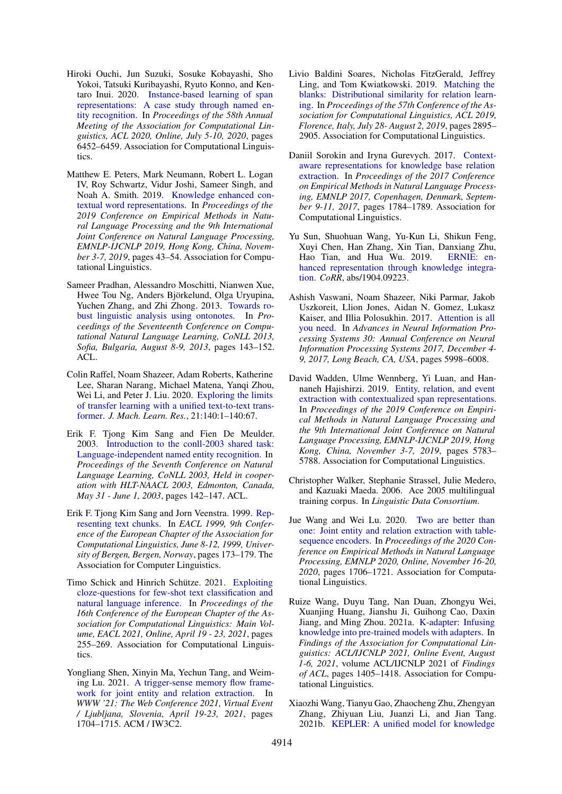- <span id="page-10-3"></span>Hiroki Ouchi, Jun Suzuki, Sosuke Kobayashi, Sho Yokoi, Tatsuki Kuribayashi, Ryuto Konno, and Kentaro Inui. 2020. [Instance-based learning of span](https://doi.org/10.18653/v1/2020.acl-main.575) [representations: A case study through named en](https://doi.org/10.18653/v1/2020.acl-main.575)[tity recognition.](https://doi.org/10.18653/v1/2020.acl-main.575) In *Proceedings of the 58th Annual Meeting of the Association for Computational Linguistics, ACL 2020, Online, July 5-10, 2020*, pages 6452–6459. Association for Computational Linguistics.
- <span id="page-10-6"></span>Matthew E. Peters, Mark Neumann, Robert L. Logan IV, Roy Schwartz, Vidur Joshi, Sameer Singh, and Noah A. Smith. 2019. [Knowledge enhanced con](https://doi.org/10.18653/v1/D19-1005)[textual word representations.](https://doi.org/10.18653/v1/D19-1005) In *Proceedings of the 2019 Conference on Empirical Methods in Natural Language Processing and the 9th International Joint Conference on Natural Language Processing, EMNLP-IJCNLP 2019, Hong Kong, China, November 3-7, 2019*, pages 43–54. Association for Computational Linguistics.
- <span id="page-10-12"></span>Sameer Pradhan, Alessandro Moschitti, Nianwen Xue, Hwee Tou Ng, Anders Björkelund, Olga Uryupina, Yuchen Zhang, and Zhi Zhong. 2013. [Towards ro](https://aclanthology.org/W13-3516/)[bust linguistic analysis using ontonotes.](https://aclanthology.org/W13-3516/) In *Proceedings of the Seventeenth Conference on Computational Natural Language Learning, CoNLL 2013, Sofia, Bulgaria, August 8-9, 2013*, pages 143–152. ACL.
- <span id="page-10-5"></span>Colin Raffel, Noam Shazeer, Adam Roberts, Katherine Lee, Sharan Narang, Michael Matena, Yanqi Zhou, Wei Li, and Peter J. Liu. 2020. [Exploring the limits](http://jmlr.org/papers/v21/20-074.html) [of transfer learning with a unified text-to-text trans](http://jmlr.org/papers/v21/20-074.html)[former.](http://jmlr.org/papers/v21/20-074.html) *J. Mach. Learn. Res.*, 21:140:1–140:67.
- <span id="page-10-11"></span>Erik F. Tjong Kim Sang and Fien De Meulder. 2003. [Introduction to the conll-2003 shared task:](https://aclanthology.org/W03-0419/) [Language-independent named entity recognition.](https://aclanthology.org/W03-0419/) In *Proceedings of the Seventh Conference on Natural Language Learning, CoNLL 2003, Held in cooperation with HLT-NAACL 2003, Edmonton, Canada, May 31 - June 1, 2003*, pages 142–147. ACL.
- <span id="page-10-14"></span>Erik F. Tjong Kim Sang and Jorn Veenstra. 1999. [Rep](https://aclanthology.org/E99-1023/)[resenting text chunks.](https://aclanthology.org/E99-1023/) In *EACL 1999, 9th Conference of the European Chapter of the Association for Computational Linguistics, June 8-12, 1999, University of Bergen, Bergen, Norway*, pages 173–179. The Association for Computer Linguistics.
- <span id="page-10-16"></span>Timo Schick and Hinrich Schütze. 2021. [Exploiting](https://aclanthology.org/2021.eacl-main.20/) [cloze-questions for few-shot text classification and](https://aclanthology.org/2021.eacl-main.20/) [natural language inference.](https://aclanthology.org/2021.eacl-main.20/) In *Proceedings of the 16th Conference of the European Chapter of the Association for Computational Linguistics: Main Volume, EACL 2021, Online, April 19 - 23, 2021*, pages 255–269. Association for Computational Linguistics.
- <span id="page-10-9"></span>Yongliang Shen, Xinyin Ma, Yechun Tang, and Weiming Lu. 2021. [A trigger-sense memory flow frame](https://doi.org/10.1145/3442381.3449895)[work for joint entity and relation extraction.](https://doi.org/10.1145/3442381.3449895) In *WWW '21: The Web Conference 2021, Virtual Event / Ljubljana, Slovenia, April 19-23, 2021*, pages 1704–1715. ACM / IW3C2.
- <span id="page-10-1"></span>Livio Baldini Soares, Nicholas FitzGerald, Jeffrey Ling, and Tom Kwiatkowski. 2019. [Matching the](https://doi.org/10.18653/v1/p19-1279) [blanks: Distributional similarity for relation learn](https://doi.org/10.18653/v1/p19-1279)[ing.](https://doi.org/10.18653/v1/p19-1279) In *Proceedings of the 57th Conference of the Association for Computational Linguistics, ACL 2019, Florence, Italy, July 28- August 2, 2019*, pages 2895– 2905. Association for Computational Linguistics.
- <span id="page-10-2"></span>Daniil Sorokin and Iryna Gurevych. 2017. [Context](https://doi.org/10.18653/v1/d17-1188)[aware representations for knowledge base relation](https://doi.org/10.18653/v1/d17-1188) [extraction.](https://doi.org/10.18653/v1/d17-1188) In *Proceedings of the 2017 Conference on Empirical Methods in Natural Language Processing, EMNLP 2017, Copenhagen, Denmark, September 9-11, 2017*, pages 1784–1789. Association for Computational Linguistics.
- <span id="page-10-4"></span>Yu Sun, Shuohuan Wang, Yu-Kun Li, Shikun Feng, Xuyi Chen, Han Zhang, Xin Tian, Danxiang Zhu, Hao Tian, and Hua Wu. 2019. [hanced representation through knowledge integra](http://arxiv.org/abs/1904.09223)[tion.](http://arxiv.org/abs/1904.09223) *CoRR*, abs/1904.09223.
- <span id="page-10-10"></span>Ashish Vaswani, Noam Shazeer, Niki Parmar, Jakob Uszkoreit, Llion Jones, Aidan N. Gomez, Lukasz Kaiser, and Illia Polosukhin. 2017. [Attention is all](https://proceedings.neurips.cc/paper/2017/hash/3f5ee243547dee91fbd053c1c4a845aa-Abstract.html) [you need.](https://proceedings.neurips.cc/paper/2017/hash/3f5ee243547dee91fbd053c1c4a845aa-Abstract.html) In *Advances in Neural Information Processing Systems 30: Annual Conference on Neural Information Processing Systems 2017, December 4- 9, 2017, Long Beach, CA, USA*, pages 5998–6008.
- <span id="page-10-0"></span>David Wadden, Ulme Wennberg, Yi Luan, and Hannaneh Hajishirzi. 2019. [Entity, relation, and event](https://doi.org/10.18653/v1/D19-1585) [extraction with contextualized span representations.](https://doi.org/10.18653/v1/D19-1585) In *Proceedings of the 2019 Conference on Empirical Methods in Natural Language Processing and the 9th International Joint Conference on Natural Language Processing, EMNLP-IJCNLP 2019, Hong Kong, China, November 3-7, 2019*, pages 5783– 5788. Association for Computational Linguistics.
- <span id="page-10-13"></span>Christopher Walker, Stephanie Strassel, Julie Medero, and Kazuaki Maeda. 2006. Ace 2005 multilingual training corpus. In *Linguistic Data Consortium*.
- <span id="page-10-15"></span>Jue Wang and Wei Lu. 2020. [Two are better than](https://doi.org/10.18653/v1/2020.emnlp-main.133) [one: Joint entity and relation extraction with table](https://doi.org/10.18653/v1/2020.emnlp-main.133)[sequence encoders.](https://doi.org/10.18653/v1/2020.emnlp-main.133) In *Proceedings of the 2020 Conference on Empirical Methods in Natural Language Processing, EMNLP 2020, Online, November 16-20, 2020*, pages 1706–1721. Association for Computational Linguistics.
- <span id="page-10-7"></span>Ruize Wang, Duyu Tang, Nan Duan, Zhongyu Wei, Xuanjing Huang, Jianshu Ji, Guihong Cao, Daxin Jiang, and Ming Zhou. 2021a. [K-adapter: Infusing](https://doi.org/10.18653/v1/2021.findings-acl.121) [knowledge into pre-trained models with adapters.](https://doi.org/10.18653/v1/2021.findings-acl.121) In *Findings of the Association for Computational Linguistics: ACL/IJCNLP 2021, Online Event, August 1-6, 2021*, volume ACL/IJCNLP 2021 of *Findings of ACL*, pages 1405–1418. Association for Computational Linguistics.
- <span id="page-10-8"></span>Xiaozhi Wang, Tianyu Gao, Zhaocheng Zhu, Zhengyan Zhang, Zhiyuan Liu, Juanzi Li, and Jian Tang. 2021b. [KEPLER: A unified model for knowledge](https://transacl.org/ojs/index.php/tacl/article/view/2447)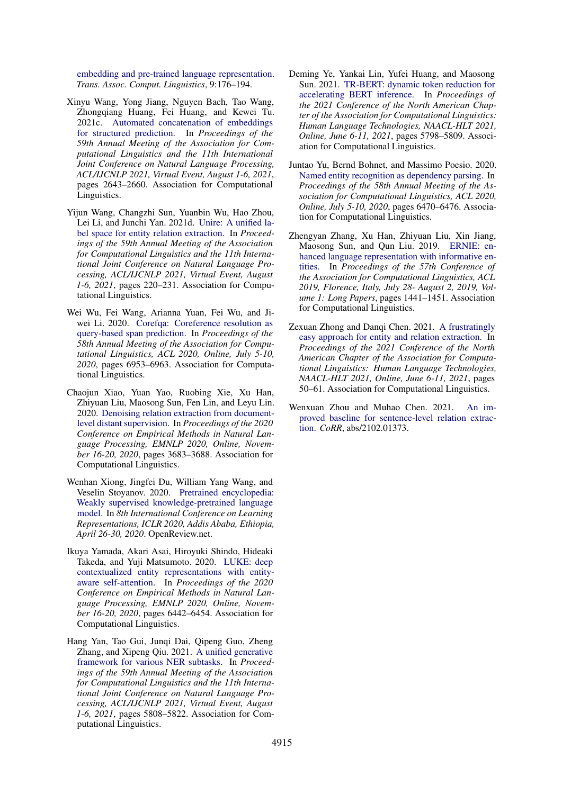[embedding and pre-trained language representation.](https://transacl.org/ojs/index.php/tacl/article/view/2447) *Trans. Assoc. Comput. Linguistics*, 9:176–194.

- <span id="page-11-1"></span>Xinyu Wang, Yong Jiang, Nguyen Bach, Tao Wang, Zhongqiang Huang, Fei Huang, and Kewei Tu. 2021c. [Automated concatenation of embeddings](https://doi.org/10.18653/v1/2021.acl-long.206) [for structured prediction.](https://doi.org/10.18653/v1/2021.acl-long.206) In *Proceedings of the 59th Annual Meeting of the Association for Computational Linguistics and the 11th International Joint Conference on Natural Language Processing, ACL/IJCNLP 2021, Virtual Event, August 1-6, 2021*, pages 2643–2660. Association for Computational Linguistics.
- <span id="page-11-9"></span>Yijun Wang, Changzhi Sun, Yuanbin Wu, Hao Zhou, Lei Li, and Junchi Yan. 2021d. [Unire: A unified la](https://doi.org/10.18653/v1/2021.acl-long.19)[bel space for entity relation extraction.](https://doi.org/10.18653/v1/2021.acl-long.19) In *Proceedings of the 59th Annual Meeting of the Association for Computational Linguistics and the 11th International Joint Conference on Natural Language Processing, ACL/IJCNLP 2021, Virtual Event, August 1-6, 2021*, pages 220–231. Association for Computational Linguistics.
- <span id="page-11-5"></span>Wei Wu, Fei Wang, Arianna Yuan, Fei Wu, and Ji-wei Li. 2020. [Corefqa: Coreference resolution as](https://doi.org/10.18653/v1/2020.acl-main.622) [query-based span prediction.](https://doi.org/10.18653/v1/2020.acl-main.622) In *Proceedings of the 58th Annual Meeting of the Association for Computational Linguistics, ACL 2020, Online, July 5-10, 2020*, pages 6953–6963. Association for Computational Linguistics.
- <span id="page-11-3"></span>Chaojun Xiao, Yuan Yao, Ruobing Xie, Xu Han, Zhiyuan Liu, Maosong Sun, Fen Lin, and Leyu Lin. 2020. [Denoising relation extraction from document](https://doi.org/10.18653/v1/2020.emnlp-main.300)[level distant supervision.](https://doi.org/10.18653/v1/2020.emnlp-main.300) In *Proceedings of the 2020 Conference on Empirical Methods in Natural Language Processing, EMNLP 2020, Online, November 16-20, 2020*, pages 3683–3688. Association for Computational Linguistics.
- <span id="page-11-7"></span>Wenhan Xiong, Jingfei Du, William Yang Wang, and Veselin Stoyanov. 2020. [Pretrained encyclopedia:](https://openreview.net/forum?id=BJlzm64tDH) [Weakly supervised knowledge-pretrained language](https://openreview.net/forum?id=BJlzm64tDH) [model.](https://openreview.net/forum?id=BJlzm64tDH) In *8th International Conference on Learning Representations, ICLR 2020, Addis Ababa, Ethiopia, April 26-30, 2020*. OpenReview.net.
- <span id="page-11-8"></span>Ikuya Yamada, Akari Asai, Hiroyuki Shindo, Hideaki Takeda, and Yuji Matsumoto. 2020. [LUKE: deep](https://doi.org/10.18653/v1/2020.emnlp-main.523) [contextualized entity representations with entity](https://doi.org/10.18653/v1/2020.emnlp-main.523)[aware self-attention.](https://doi.org/10.18653/v1/2020.emnlp-main.523) In *Proceedings of the 2020 Conference on Empirical Methods in Natural Language Processing, EMNLP 2020, Online, November 16-20, 2020*, pages 6442–6454. Association for Computational Linguistics.
- <span id="page-11-11"></span>Hang Yan, Tao Gui, Junqi Dai, Qipeng Guo, Zheng Zhang, and Xipeng Qiu. 2021. [A unified generative](https://doi.org/10.18653/v1/2021.acl-long.451) [framework for various NER subtasks.](https://doi.org/10.18653/v1/2021.acl-long.451) In *Proceedings of the 59th Annual Meeting of the Association for Computational Linguistics and the 11th International Joint Conference on Natural Language Processing, ACL/IJCNLP 2021, Virtual Event, August 1-6, 2021*, pages 5808–5822. Association for Computational Linguistics.
- <span id="page-11-4"></span>Deming Ye, Yankai Lin, Yufei Huang, and Maosong Sun. 2021. [TR-BERT: dynamic token reduction for](https://doi.org/10.18653/v1/2021.naacl-main.463) [accelerating BERT inference.](https://doi.org/10.18653/v1/2021.naacl-main.463) In *Proceedings of the 2021 Conference of the North American Chapter of the Association for Computational Linguistics: Human Language Technologies, NAACL-HLT 2021, Online, June 6-11, 2021*, pages 5798–5809. Association for Computational Linguistics.
- <span id="page-11-10"></span>Juntao Yu, Bernd Bohnet, and Massimo Poesio. 2020. [Named entity recognition as dependency parsing.](https://doi.org/10.18653/v1/2020.acl-main.577) In *Proceedings of the 58th Annual Meeting of the Association for Computational Linguistics, ACL 2020, Online, July 5-10, 2020*, pages 6470–6476. Association for Computational Linguistics.
- <span id="page-11-6"></span>Zhengyan Zhang, Xu Han, Zhiyuan Liu, Xin Jiang, Maosong Sun, and Qun Liu. 2019. [ERNIE: en](https://doi.org/10.18653/v1/p19-1139)[hanced language representation with informative en](https://doi.org/10.18653/v1/p19-1139)[tities.](https://doi.org/10.18653/v1/p19-1139) In *Proceedings of the 57th Conference of the Association for Computational Linguistics, ACL 2019, Florence, Italy, July 28- August 2, 2019, Volume 1: Long Papers*, pages 1441–1451. Association for Computational Linguistics.
- <span id="page-11-2"></span>Zexuan Zhong and Danqi Chen. 2021. [A frustratingly](https://doi.org/10.18653/v1/2021.naacl-main.5) [easy approach for entity and relation extraction.](https://doi.org/10.18653/v1/2021.naacl-main.5) In *Proceedings of the 2021 Conference of the North American Chapter of the Association for Computational Linguistics: Human Language Technologies, NAACL-HLT 2021, Online, June 6-11, 2021*, pages 50–61. Association for Computational Linguistics.
- <span id="page-11-0"></span>Wenxuan Zhou and Muhao Chen. 2021. [An im](http://arxiv.org/abs/2102.01373)[proved baseline for sentence-level relation extrac](http://arxiv.org/abs/2102.01373)[tion.](http://arxiv.org/abs/2102.01373) *CoRR*, abs/2102.01373.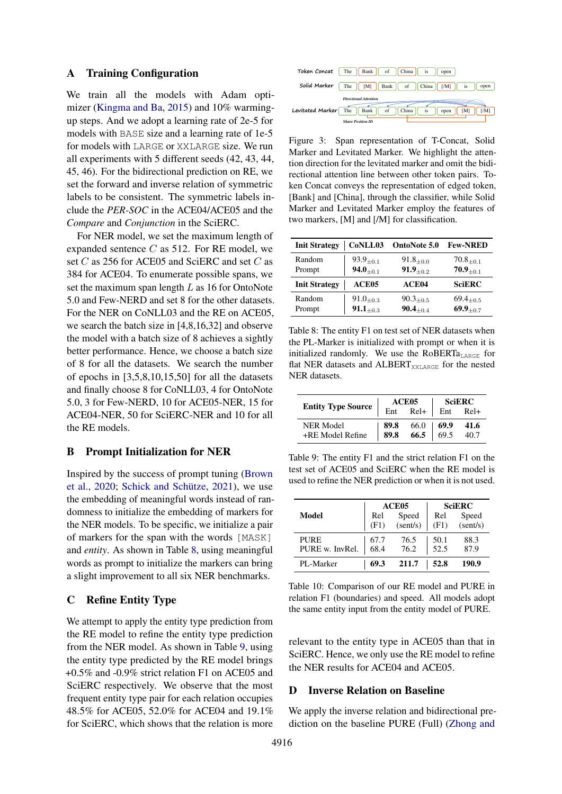# A Training Configuration

We train all the models with Adam optimizer [\(Kingma and Ba,](#page-9-16) [2015\)](#page-9-16) and 10% warmingup steps. And we adopt a learning rate of 2e-5 for models with BASE size and a learning rate of 1e-5 for models with LARGE or XXLARGE size. We run all experiments with 5 different seeds (42, 43, 44, 45, 46). For the bidirectional prediction on RE, we set the forward and inverse relation of symmetric labels to be consistent. The symmetric labels include the *PER-SOC* in the ACE04/ACE05 and the *Compare* and *Conjunction* in the SciERC.

For NER model, we set the maximum length of expanded sentence  $C$  as 512. For RE model, we set C as 256 for ACE05 and SciERC and set C as 384 for ACE04. To enumerate possible spans, we set the maximum span length  $L$  as 16 for OntoNote 5.0 and Few-NERD and set 8 for the other datasets. For the NER on CoNLL03 and the RE on ACE05, we search the batch size in [4,8,16,32] and observe the model with a batch size of 8 achieves a sightly better performance. Hence, we choose a batch size of 8 for all the datasets. We search the number of epochs in [3,5,8,10,15,50] for all the datasets and finally choose 8 for CoNLL03, 4 for OntoNote 5.0, 3 for Few-NERD, 10 for ACE05-NER, 15 for ACE04-NER, 50 for SciERC-NER and 10 for all the RE models.

## B Prompt Initialization for NER

Inspired by the success of prompt tuning [\(Brown](#page-8-9) [et al.,](#page-8-9) [2020;](#page-8-9) [Schick and Schütze,](#page-10-16) [2021\)](#page-10-16), we use the embedding of meaningful words instead of randomness to initialize the embedding of markers for the NER models. To be specific, we initialize a pair of markers for the span with the words [MASK] and *entity*. As shown in Table [8,](#page-12-0) using meaningful words as prompt to initialize the markers can bring a slight improvement to all six NER benchmarks.

# C Refine Entity Type

We attempt to apply the entity type prediction from the RE model to refine the entity type prediction from the NER model. As shown in Table [9,](#page-12-1) using the entity type predicted by the RE model brings +0.5% and -0.9% strict relation F1 on ACE05 and SciERC respectively. We observe that the most frequent entity type pair for each relation occupies 48.5% for ACE05, 52.0% for ACE04 and 19.1% for SciERC, which shows that the relation is more

<span id="page-12-3"></span>

Figure 3: Span representation of T-Concat, Solid Marker and Levitated Marker. We highlight the attention direction for the levitated marker and omit the bidirectional attention line between other token pairs. Token Concat conveys the representation of edged token, [Bank] and [China], through the classifier, while Solid Marker and Levitated Marker employ the features of two markers, [M] and [/M] for classification.

<span id="page-12-0"></span>

| <b>Init Strategy</b> | CoNLL03           | OntoNote 5.0     | <b>Few-NRED</b>  |
|----------------------|-------------------|------------------|------------------|
| Random               | $93.9_{+0.1}$     | $91.8_{\pm 0.0}$ | $70.8_{\pm 0.1}$ |
| Prompt               | $94.0_{+0.1}$     | $91.9_{+0.2}$    | $70.9_{+0.1}$    |
| <b>Init Strategy</b> | ACE <sub>05</sub> | ACE04            | <b>SciERC</b>    |
| Random               | $91.0_{+0.3}$     | $90.3_{+0.5}$    | $69.4_{+0.5}$    |
| Prompt               | $91.1_{+0.3}$     | $90.4_{\pm 0.4}$ | $69.9_{+0.7}$    |

Table 8: The entity F1 on test set of NER datasets when the PL-Marker is initialized with prompt or when it is initialized randomly. We use the RoBERT $a_{\text{LARGE}}$  for flat NER datasets and ALBERT<sub>XXLARGE</sub> for the nested NER datasets.

<span id="page-12-1"></span>

|                           | ACE05                                                                                                     | $\mid$ SciERC |      |  |
|---------------------------|-----------------------------------------------------------------------------------------------------------|---------------|------|--|
| <b>Entity Type Source</b> | $Ent$ Rel+ $Ent$ Rel+                                                                                     |               |      |  |
| NER Model                 | $\begin{array}{ l c c c c } \hline 89.8 & 66.0 & 69.9 \\ \hline 89.8 & 66.5 & 69.5 \\ \hline \end{array}$ |               | 41.6 |  |
| +RE Model Refine          |                                                                                                           |               | 40.7 |  |

Table 9: The entity F1 and the strict relation F1 on the test set of ACE05 and SciERC when the RE model is used to refine the NER prediction or when it is not used.

<span id="page-12-2"></span>

|                 |             | ACE <sub>05</sub> |             | <b>SciERC</b>     |  |
|-----------------|-------------|-------------------|-------------|-------------------|--|
| Model           | Rel<br>(F1) | Speed<br>(sent/s) | Rel<br>(F1) | Speed<br>(sent/s) |  |
|                 |             |                   |             |                   |  |
| <b>PURE</b>     | 67.7        | 76.5              | 50.1        | 88.3              |  |
| PURE w. InvRel. | 68.4        | 76.2              | 52.5        | 87.9              |  |
| PL-Marker       | 69.3        | 211.7             | 52.8        | 190.9             |  |

Table 10: Comparison of our RE model and PURE in relation F1 (boundaries) and speed. All models adopt the same entity input from the entity model of PURE.

relevant to the entity type in ACE05 than that in SciERC. Hence, we only use the RE model to refine the NER results for ACE04 and ACE05.

## D Inverse Relation on Baseline

We apply the inverse relation and bidirectional prediction on the baseline PURE (Full) [\(Zhong and](#page-11-2)